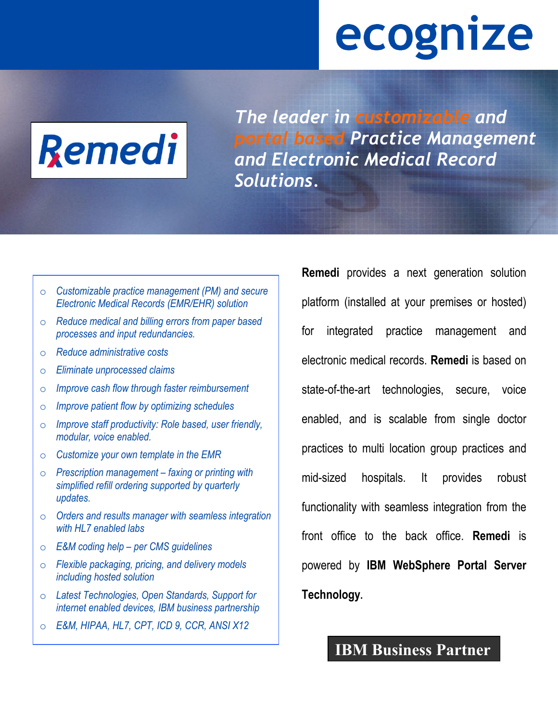# ecognize



*The leader in customizable and portal based Practice Management and Electronic Medical Record Solutions.* 

o *Customizable practice management (PM) and secure Electronic Medical Records (EMR/EHR) solution* 

- o *Reduce medical and billing errors from paper based processes and input redundancies.*
- o *Reduce administrative costs*
- o *Eliminate unprocessed claims*
- o *Improve cash flow through faster reimbursement*
- o *Improve patient flow by optimizing schedules*
- o *Improve staff productivity: Role based, user friendly, modular, voice enabled.*
- o *Customize your own template in the EMR*
- o *Prescription management faxing or printing with simplified refill ordering supported by quarterly updates.*
- o *Orders and results manager with seamless integration with HL7 enabled labs*
- o *E&M coding help per CMS guidelines*
- o *Flexible packaging, pricing, and delivery models including hosted solution*
- o *Latest Technologies, Open Standards, Support for internet enabled devices, IBM business partnership*
- o *E&M, HIPAA, HL7, CPT, ICD 9, CCR, ANSI X12*

**Remedi** provides a next generation solution platform (installed at your premises or hosted) for integrated practice management and electronic medical records. **Remedi** is based on state-of-the-art technologies, secure, voice enabled, and is scalable from single doctor practices to multi location group practices and mid-sized hospitals. It provides robust functionality with seamless integration from the front office to the back office. **Remedi** is powered by **IBM WebSphere Portal Server Technology.**

### **IBM Business Partner**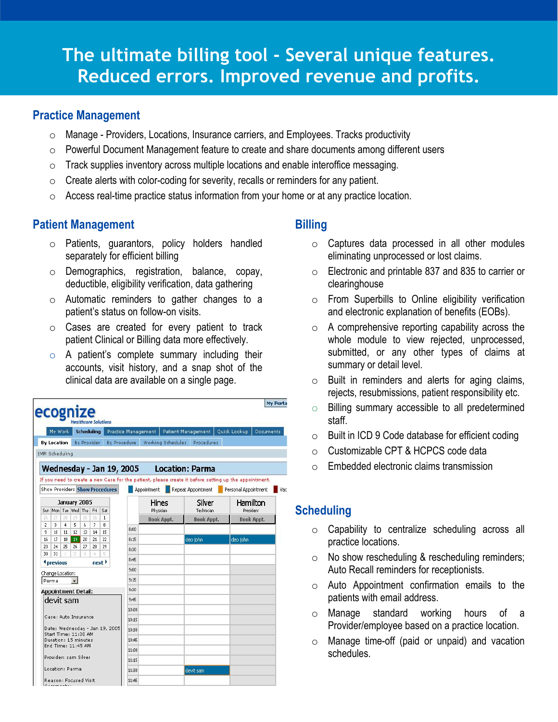# **The ultimate billing tool - Several unique features. Reduced errors. Improved revenue and profits.**

#### **Practice Management**

- $\circ$  Manage Providers, Locations, Insurance carriers, and Employees. Tracks productivity
- o Powerful Document Management feature to create and share documents among different users
- $\circ$  Track supplies inventory across multiple locations and enable interoffice messaging.
- $\circ$  Create alerts with color-coding for severity, recalls or reminders for any patient.
- o Access real-time practice status information from your home or at any practice location.

#### **Patient Management**

- o Patients, guarantors, policy holders handled separately for efficient billing
- o Demographics, registration, balance, copay, deductible, eligibility verification, data gathering
- o Automatic reminders to gather changes to a patient's status on follow-on visits.
- o Cases are created for every patient to track patient Clinical or Billing data more effectively.
- o A patient's complete summary including their accounts, visit history, and a snap shot of the clinical data are available on a single page.

|                                              | My Work                |                |          |                                     | <b>Schedulina</b>  |                                       | Practice Management             |                    |                   | Patient Management     | Quick Lookup                                                                                          | Documents             |     |
|----------------------------------------------|------------------------|----------------|----------|-------------------------------------|--------------------|---------------------------------------|---------------------------------|--------------------|-------------------|------------------------|-------------------------------------------------------------------------------------------------------|-----------------------|-----|
| <b>By Location</b>                           |                        |                |          |                                     | <b>By Provider</b> |                                       | By Procedure                    |                    | Working Schedules | Procedures             |                                                                                                       |                       |     |
| <b>EMR Scheduling</b>                        |                        |                |          |                                     |                    |                                       |                                 |                    |                   |                        |                                                                                                       |                       |     |
|                                              |                        |                |          |                                     |                    |                                       | <b>Wednesday - Jan 19, 2005</b> |                    |                   | <b>Location: Parma</b> |                                                                                                       |                       |     |
|                                              |                        |                |          |                                     |                    |                                       |                                 |                    |                   |                        | If you need to create a new Case for the patient, please create it before setting up the appointment. |                       |     |
|                                              |                        |                |          |                                     |                    | <b>Show Providers Show Procedures</b> |                                 | Appointment        |                   | Repeat Appointment     | Personal Appointment                                                                                  |                       | Vac |
|                                              |                        |                |          | January 2005<br>Sun Mon Tue Wed Thu | Fri                | Sat                                   |                                 | Hines<br>Physician |                   | Silver<br>Technician   |                                                                                                       | Hamilton<br>President |     |
| 26                                           | 27                     | 28             | 29       | 30                                  | 31                 | $\mathbf{1}$                          |                                 | <b>Book Appt.</b>  |                   | <b>Book Appt.</b>      |                                                                                                       | Book Appt.            |     |
| $\overline{2}$                               | 3                      | $\overline{4}$ | 5        | 6                                   | 7                  | 8                                     | 8:00                            |                    |                   |                        |                                                                                                       |                       |     |
| 9<br>16                                      | 10 <sup>10</sup><br>17 | 11<br>18       | 12<br>19 | 13<br>20                            | 14<br>21           | 15<br>22                              | 8:15                            |                    |                   | deo john               | deo john                                                                                              |                       |     |
| 23                                           | 24                     | 25             | 26       | 27                                  | 28                 | 29                                    |                                 |                    |                   |                        |                                                                                                       |                       |     |
| 30                                           | 31                     |                | 2        | з                                   | 淖                  | 5                                     | 8:30                            |                    |                   |                        |                                                                                                       |                       |     |
| <i><u><b>A</b></u></i> previous<br>next >    |                        |                |          |                                     |                    | 8:45                                  |                                 |                    |                   |                        |                                                                                                       |                       |     |
| Change Location:                             |                        |                |          |                                     |                    |                                       | 9:00                            |                    |                   |                        |                                                                                                       |                       |     |
| Parma                                        |                        |                |          |                                     |                    | 9:15                                  |                                 |                    |                   |                        |                                                                                                       |                       |     |
|                                              |                        |                |          | <b>Appointment Detail:</b>          |                    |                                       | 9:30                            |                    |                   |                        |                                                                                                       |                       |     |
| devit sam                                    |                        |                |          |                                     |                    |                                       | 9:45                            |                    |                   |                        |                                                                                                       |                       |     |
|                                              |                        |                |          |                                     |                    |                                       | 10:00                           |                    |                   |                        |                                                                                                       |                       |     |
| Case: Auto Insurance                         |                        |                |          |                                     |                    |                                       | 10:15                           |                    |                   |                        |                                                                                                       |                       |     |
| Date: Wednesday - Jan 19, 2005               |                        |                |          |                                     |                    |                                       | 10:30                           |                    |                   |                        |                                                                                                       |                       |     |
| Start Time: 11:30 AM<br>Duration: 15 minutes |                        |                |          |                                     |                    | 10:45                                 |                                 |                    |                   |                        |                                                                                                       |                       |     |
| End Time: 11:45 AM                           |                        |                |          |                                     |                    |                                       | 11:00                           |                    |                   |                        |                                                                                                       |                       |     |
| Provider: sam Silver                         |                        |                |          |                                     |                    | 11:15                                 |                                 |                    |                   |                        |                                                                                                       |                       |     |
| Location: Parma                              |                        |                |          |                                     |                    | 11:30                                 |                                 |                    | devit sam         |                        |                                                                                                       |                       |     |
| Reason: Focused Visit                        |                        |                |          |                                     |                    | 11:45                                 |                                 |                    |                   |                        |                                                                                                       |                       |     |
|                                              |                        | Commontai      |          |                                     |                    |                                       |                                 |                    |                   |                        |                                                                                                       |                       |     |

#### **Billing**

- o Captures data processed in all other modules eliminating unprocessed or lost claims.
- o Electronic and printable 837 and 835 to carrier or clearinghouse
- $\circ$  From Superbills to Online eligibility verification and electronic explanation of benefits (EOBs).
- o A comprehensive reporting capability across the whole module to view rejected, unprocessed, submitted, or any other types of claims at summary or detail level.
- o Built in reminders and alerts for aging claims, rejects, resubmissions, patient responsibility etc.
- o Billing summary accessible to all predetermined staff.
- o Built in ICD 9 Code database for efficient coding
- o Customizable CPT & HCPCS code data
- o Embedded electronic claims transmission

#### **Scheduling**

- o Capability to centralize scheduling across all practice locations.
- o No show rescheduling & rescheduling reminders; Auto Recall reminders for receptionists.
- o Auto Appointment confirmation emails to the patients with email address.
- o Manage standard working hours of a Provider/employee based on a practice location.
- o Manage time-off (paid or unpaid) and vacation schedules.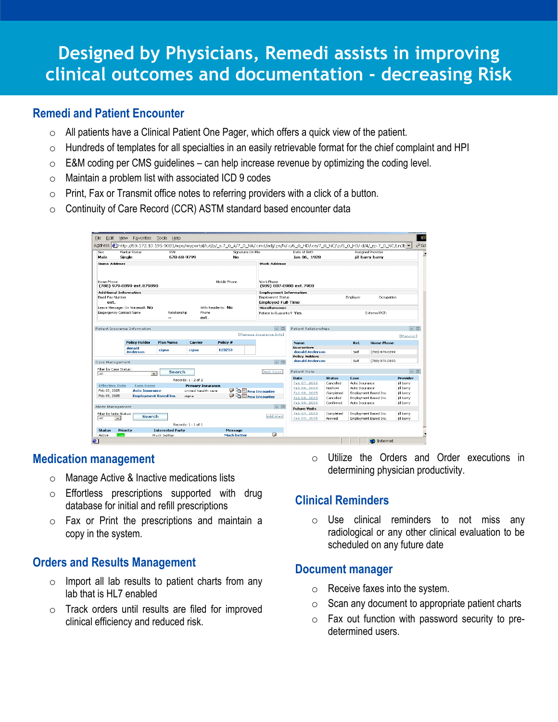# **Designed by Physicians, Remedi assists in improving clinical outcomes and documentation - decreasing Risk**

#### **Remedi and Patient Encounter**

- $\circ$  All patients have a Clinical Patient One Pager, which offers a quick view of the patient.
- o Hundreds of templates for all specialties in an easily retrievable format for the chief complaint and HPI
- $\circ$  E&M coding per CMS guidelines can help increase revenue by optimizing the coding level.
- $\circ$  Maintain a problem list with associated ICD 9 codes
- $\circ$  Print, Fax or Transmit office notes to referring providers with a click of a button.
- $\circ$  Continuity of Care Record (CCR) ASTM standard based encounter data

| Male                                                                                                                                   | Marital Status<br>Single                  | SSN<br>678-68-9799           |                                                         | Signature On File<br>Nn.                                                                                         |                                                              | Date of Birth<br>Jan 06, 1928                                                |                                                            |                                                    | <b>Assigned Provider</b><br>iill barry barry   |                                                                 |
|----------------------------------------------------------------------------------------------------------------------------------------|-------------------------------------------|------------------------------|---------------------------------------------------------|------------------------------------------------------------------------------------------------------------------|--------------------------------------------------------------|------------------------------------------------------------------------------|------------------------------------------------------------|----------------------------------------------------|------------------------------------------------|-----------------------------------------------------------------|
| <b>Home Address</b>                                                                                                                    |                                           |                              |                                                         |                                                                                                                  | <b>Work Address</b>                                          |                                                                              |                                                            |                                                    |                                                |                                                                 |
| Home Phone                                                                                                                             | (788) 979-0899 ext.879890                 |                              |                                                         | Mobile Phone                                                                                                     | Work Phone<br>(989) 007-0980 ext.7908                        |                                                                              |                                                            |                                                    |                                                |                                                                 |
| <b>Additional Information</b><br>Email Eax Number<br>ext.                                                                              |                                           |                              |                                                         | <b>Employment Information</b><br><b>Employment Status</b><br>Employer<br>Occupation<br><b>Employed Full-Time</b> |                                                              |                                                                              |                                                            |                                                    |                                                |                                                                 |
| Leave Message: On Voicemail: NO<br>With Residents: NO<br>Emgergency Contact Name<br>Relationship<br><b>Phone</b><br>ext.<br>$\sim$ $-$ |                                           |                              |                                                         |                                                                                                                  | Miscellaneous:<br>External PCP:<br>Patient is Guarantor? Yes |                                                                              |                                                            |                                                    |                                                |                                                                 |
|                                                                                                                                        | Patient Insurance Information             |                              |                                                         |                                                                                                                  | $ \Box$                                                      | Patient Relationships                                                        |                                                            |                                                    |                                                | $ \Box$                                                         |
|                                                                                                                                        |                                           |                              |                                                         |                                                                                                                  | Manage Insurance Info]                                       |                                                                              |                                                            |                                                    |                                                | [Manage]                                                        |
|                                                                                                                                        | <b>Policy Holder</b>                      | <b>Plan Name</b>             | <b>Carrier</b>                                          | Policy #                                                                                                         |                                                              | <b>Name</b><br>Guarantors                                                    |                                                            | Rel.                                               | <b>Home Phone</b>                              |                                                                 |
|                                                                                                                                        | donald<br><b>Anderson</b>                 | ciana                        | ciana                                                   | 123233                                                                                                           |                                                              | donald Anderson<br><b>Policy Holders</b>                                     |                                                            | Self                                               | (788) 979-0899                                 |                                                                 |
| Case Management                                                                                                                        |                                           |                              |                                                         |                                                                                                                  | $ \Box$                                                      | donald Anderson                                                              |                                                            | Self                                               | (788) 979-0899                                 |                                                                 |
| Filter by Case Status:<br>l All                                                                                                        | $\cdot$                                   | Search                       |                                                         |                                                                                                                  | FAdd Case1                                                   | Patient Visits                                                               |                                                            |                                                    |                                                | $ \Box$                                                         |
|                                                                                                                                        |                                           |                              | Records: 1 - 2 of 2                                     |                                                                                                                  |                                                              | <b>Date</b>                                                                  | <b>Status</b>                                              | Case                                               |                                                | Provider                                                        |
| <b>Effective Date</b><br>Feb 03, 2005<br>Feb 09, 2005                                                                                  | <b>Case Name</b><br><b>Auto Insurance</b> | <b>Employment Based Ins.</b> | <b>Primary Insurance</b><br>united health care<br>ciona |                                                                                                                  | <b>DE New Encounter</b><br><b>DE New Encounter</b>           | Feb 07, 2005<br>Feb 08, 2005<br>Feb 08, 2005<br>Feb 08, 2005<br>Feb 08, 2005 | Cancelled<br>Noshow<br>Completed<br>Cancelled<br>Confirmed | Auto Insurance<br>Auto Insurance<br>Auto Insurance | Employment Based Ins.<br>Employment Based Ins. | jill barry<br>ill barry<br>ill barry<br>till barry<br>ill barry |
| Alerts Management                                                                                                                      | Filter by Note Status:<br><b>Search</b>   |                              |                                                         |                                                                                                                  | $ \Box$<br>Add Alert                                         | <b>Future Visits</b><br>Feb 09, 2005<br>Feb 09, 2005                         | Completed<br>Arrived                                       |                                                    | Employment Based Ins.<br>Employment Based Ins. | jill barry<br>ill barry                                         |

#### **Medication management**

- o Manage Active & Inactive medications lists
- o Effortless prescriptions supported with drug database for initial and refill prescriptions
- o Fax or Print the prescriptions and maintain a copy in the system.

#### **Orders and Results Management**

- $\circ$  Import all lab results to patient charts from any lab that is HL7 enabled
- o Track orders until results are filed for improved clinical efficiency and reduced risk.

o Utilize the Orders and Order executions in determining physician productivity.

#### **Clinical Reminders**

o Use clinical reminders to not miss any radiological or any other clinical evaluation to be scheduled on any future date

#### **Document manager**

- $\circ$  Receive faxes into the system.
- $\circ$  Scan any document to appropriate patient charts
- $\circ$  Fax out function with password security to predetermined users.